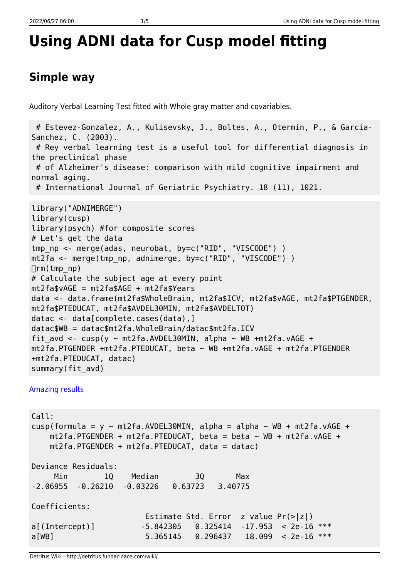# **Using ADNI data for Cusp model fitting**

## **Simple way**

Auditory Verbal Learning Test fitted with Whole gray matter and covariables.

```
 # Estevez-Gonzalez, A., Kulisevsky, J., Boltes, A., Otermin, P., & Garcia-
Sanchez, C. (2003).
  # Rey verbal learning test is a useful tool for differential diagnosis in
the preclinical phase
 # of Alzheimer's disease: comparison with mild cognitive impairment and
normal aging.
  # International Journal of Geriatric Psychiatry. 18 (11), 1021.
library("ADNIMERGE")
library(cusp)
library(psych) #for composite scores
# Let's get the data
tmp np <- merge(adas, neurobat, by=c("RID", "VISCODE") )
mt2fa <- merge(tmp_np, adnimerge, by=c("RID", "VISCODE") )
\Boxrm(tmp_np)
# Calculate the subject age at every point
mt2fa$vAGE = mt2fa$AGE + mt2fa$Years
data <- data.frame(mt2fa$WholeBrain, mt2fa$ICV, mt2fa$vAGE, mt2fa$PTGENDER,
mt2fa$PTEDUCAT, mt2fa$AVDEL30MIN, mt2fa$AVDELTOT)
datac <- data[complete.cases(data),]
datac$WB = datac$mt2fa.WholeBrain/datac$mt2fa.ICV
fit avd <- cusp(y ~ mt2fa.AVDEL30MIN, alpha ~ WB +mt2fa.vAGE +
mt2fa.PTGENDER +mt2fa.PTEDUCAT, beta ~ WB +mt2fa.vAGE + mt2fa.PTGENDER
+mt2fa.PTEDUCAT, datac)
summary(fit_avd)
```
#### [Amazing results](#page--1-0)

Call: cusp(formula =  $y \sim m \frac{t^2}{a}$ . AVDEL30MIN, alpha = alpha  $\sim$  WB + mt2fa.vAGE +  $mt2fa.PTGENDER + mt2fa.PTEDUCAT, beta = beta ~ WB + mt2fa.vAGE +$  mt2fa.PTGENDER + mt2fa.PTEDUCAT, data = datac) Deviance Residuals: Min 1Q Median 3Q Max -2.06955 -0.26210 -0.03226 0.63723 3.40775 Coefficients: Estimate Std. Error z value Pr(>|z|) a[(Intercept)] -5.842305 0.325414 -17.953 < 2e-16 \*\*\* a[WB] 5.365145 0.296437 18.099 < 2e-16 \*\*\*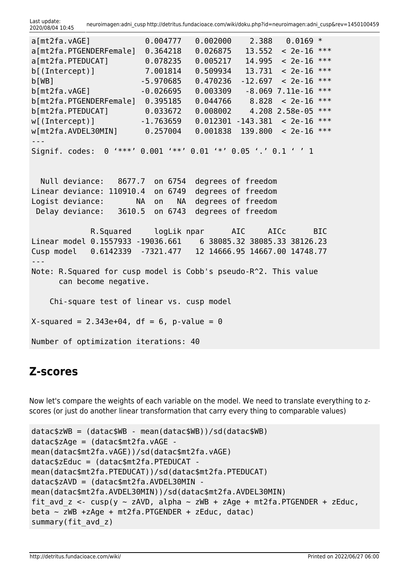Last update:<br>2020/08/04 10:45 2020/08/04 10:45 neuroimagen:adni\_cusp http://detritus.fundacioace.com/wiki/doku.php?id=neuroimagen:adni\_cusp&rev=1450100459

| a[mt2fa.vAGE]                                                     | 0.004777                                                 | 0.002000           | 2.388          | $0.0169$ * |            |  |  |
|-------------------------------------------------------------------|----------------------------------------------------------|--------------------|----------------|------------|------------|--|--|
| a[mt2fa.PTGENDERFemale]                                           | 0.364218                                                 | 0.026875           | 13.552         | $< 2e-16$  | ***        |  |  |
| a[mt2fa.PTEDUCAT]                                                 | 0.078235                                                 | 0.005217           | 14.995         | $< 2e-16$  | ***        |  |  |
| b[(Intercept)]                                                    | 7.001814                                                 | 0.509934           | 13.731         | $< 2e-16$  | $***$      |  |  |
| b[WB]                                                             | $-5.970685$                                              | 0.470236           | $-12.697$      | $< 2e-16$  | ***        |  |  |
| b[mt2fa.vAGE]                                                     | $-0.026695$                                              | 0.003309           | $-8.069$       | 7.11e-16   | $***$      |  |  |
| b[mt2fa.PTGENDERFemale] 0.395185                                  |                                                          | 0.044766           | 8.828          | $< 2e-16$  | ***        |  |  |
| b[mt2fa.PTEDUCAT]                                                 | 0.033672                                                 | 0.008002           | 4.208 2.58e-05 |            | $***$      |  |  |
| w[(Intercept)]                                                    | $-1.763659$                                              | 0.012301           | $-143.381$     | $< 2e-16$  | $***$      |  |  |
| $w[mt2fa.AVDEL30MIN]$ 0.257004                                    |                                                          | 0.001838           | 139.800        | $< 2e-16$  | $***$      |  |  |
|                                                                   |                                                          |                    |                |            |            |  |  |
| Signif. codes:                                                    | $0$ '***' $0.001$ '**' $0.01$ '*' $0.05$ '.' $0.1$ ' ' 1 |                    |                |            |            |  |  |
|                                                                   |                                                          |                    |                |            |            |  |  |
|                                                                   |                                                          |                    |                |            |            |  |  |
| Null deviance: 8677.7 on 6754                                     |                                                          | degrees of freedom |                |            |            |  |  |
| Linear deviance: 110910.4                                         | on 6749                                                  | degrees of freedom |                |            |            |  |  |
| Logist deviance:                                                  | <b>NA</b><br><b>NA</b><br>on                             | degrees of freedom |                |            |            |  |  |
| Delay deviance: 3610.5                                            | on 6743                                                  | degrees of freedom |                |            |            |  |  |
|                                                                   |                                                          |                    |                |            |            |  |  |
|                                                                   | R.Squared logLik npar AIC                                |                    | AICc           |            | <b>BIC</b> |  |  |
| Linear model 0.1557933 -19036.661    6 38085.32 38085.33 38126.23 |                                                          |                    |                |            |            |  |  |
| Cusp model 0.6142339 -7321.477 12 14666.95 14667.00 14748.77      |                                                          |                    |                |            |            |  |  |
|                                                                   |                                                          |                    |                |            |            |  |  |
| Note: R. Squared for cusp model is Cobb's pseudo-R^2. This value  |                                                          |                    |                |            |            |  |  |
| can become negative.                                              |                                                          |                    |                |            |            |  |  |
|                                                                   |                                                          |                    |                |            |            |  |  |
| Chi-square test of linear vs. cusp model                          |                                                          |                    |                |            |            |  |  |
|                                                                   |                                                          |                    |                |            |            |  |  |
|                                                                   |                                                          |                    |                |            |            |  |  |
| $X$ -squared = 2.343e+04, df = 6, p-value = 0                     |                                                          |                    |                |            |            |  |  |
| Number of optimization iterations: 40                             |                                                          |                    |                |            |            |  |  |
|                                                                   |                                                          |                    |                |            |            |  |  |

### **Z-scores**

Now let's compare the weights of each variable on the model. We need to translate everything to zscores (or just do another linear transformation that carry every thing to comparable values)

```
datac$zWB = (datac$WB - mean(datac$WB))/sd(datac$WB)
datac$zAge = (datac$mt2fa.vAGE -
mean(datac$mt2fa.vAGE))/sd(datac$mt2fa.vAGE)
datac$zEduc = (datac$mt2fa.PTEDUCAT -
mean(datac$mt2fa.PTEDUCAT))/sd(datac$mt2fa.PTEDUCAT)
datac$zAVD = (datac$mt2fa.AVDEL30MIN -
mean(datac$mt2fa.AVDEL30MIN))/sd(datac$mt2fa.AVDEL30MIN)
fit avd z \leq -cusp(y \sim zAVD, alpha \sim zWB + zAge + mt2fa.PTGENDER + zEduc,beta \sim zWB +zAge + mt2fa.PTGENDER + zEduc, datac)
summary(fit avd z)
```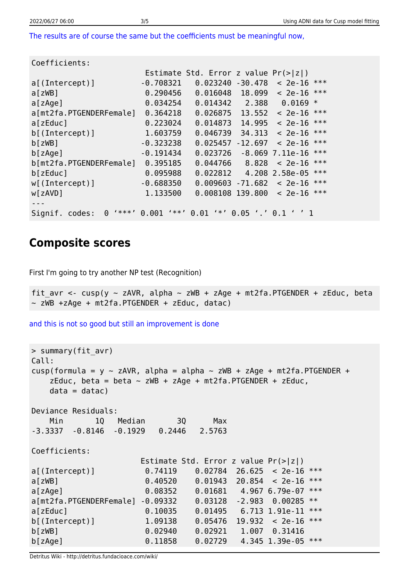[The results are of course the same but the coefficients must be meaningful now,](#page--1-0)

| Coefficients:                         |                    |                                                   |                  |                       |
|---------------------------------------|--------------------|---------------------------------------------------|------------------|-----------------------|
|                                       |                    | Estimate Std. Error z value $Pr(> z )$            |                  |                       |
| $a$ [(Intercept)]                     | $-0.708321$        | 0.023240                                          | $-30.478$        | ***<br>$< 2e-16$      |
| a[zWB]                                | 0.290456           | 0.016048                                          | 18.099           | ***<br>$< 2e-16$      |
| a[zAge]                               | 0.034254           | 0.014342                                          | 2.388            | 0.0169<br>$\ast$      |
| a[mt2fa.PTGENDERFemale]               | 0.364218           | 0.026875                                          | 13.552           | ***<br>$< 2e-16$      |
| a[zEduc]                              | 0.223024           | 0.014873                                          | 14.995           | ***<br>$< 2e-16$      |
| $b$ [(Intercept)]                     | 1.603759           | 0.046739                                          | 34,313           | ***<br>$< 2e-16$      |
| $b$ [ zWB]                            | $-0.323238$        | 0.025457                                          | $-12.697$        | ***<br>$< 2e-16$      |
| b[zAge]                               | $-0.191434$        | 0.023726                                          | $-8.069$         | ***<br>7.11e-16       |
| b[mt2fa.PTGENDERFemale]               | 0.395185           | 0.044766                                          | 8.828            | ***<br>$< 2e-16$      |
| b[zEduc]                              | 0.095988           | 0.022812                                          |                  | ***<br>4.208 2.58e-05 |
| $w[$ (Intercept)]                     | $-0.688350$        | 0.009603                                          | $-71.682$        | ***<br>$< 2e-16$      |
| w[zAVD]                               | 1.133500           | 0.008108 139.800                                  |                  | ***<br>$< 2e-16$      |
|                                       |                    |                                                   |                  |                       |
| $1***1$<br>Signif. codes:<br>$\Theta$ | $1 * * 1$<br>0.001 | $\rightarrow$ $\rightarrow$ $\rightarrow$<br>0.01 | $0.05$ '.' $0.1$ |                       |

### **Composite scores**

First I'm going to try another NP test (Recognition)

fit avr <- cusp(y ~ zAVR, alpha ~ zWB + zAge + mt2fa.PTGENDER + zEduc, beta ~ zWB +zAge + mt2fa.PTGENDER + zEduc, datac)

[and this is not so good but still an improvement is done](#page--1-0)

```
> summary(fit_avr)
Call:
cusp(formula = y \sim zAVR, alpha = alpha \sim zWB + zAge + mt2fa.PTGENDER +
   zEduc, beta = beta \sim zWB + zAge + mt2fa.PTGENDER + zEduc,
   data = data)
Deviance Residuals:
    Min 1Q Median 3Q Max
-3.3337 -0.8146 -0.1929 0.2446 2.5763
Coefficients:
                    Estimate Std. Error z value Pr(>|z|)
a[(Intercept)] 0.74119 0.02784 26.625 < 2e-16 ***
a[zWB] 0.40520 0.01943 20.854 < 2e-16 ***
a[zAge] 0.08352 0.01681 4.967 6.79e-07 ***
a[mt2fa.PTGENDERFemale] -0.09332 0.03128 -2.983 0.00285 **
a[zEduc] 0.10035 0.01495 6.713 1.91e-11 ***
b[(Intercept)] 1.09138 0.05476 19.932 < 2e-16 ***
b[zWB] 0.02940 0.02921 1.007 0.31416
b[zAge] 0.11858 0.02729 4.345 1.39e-05 ***
```
Detritus Wiki - http://detritus.fundacioace.com/wiki/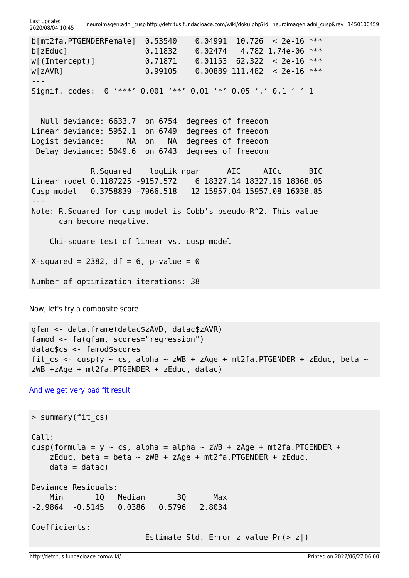Last update:<br>2020/08/04 10:45 2020/08/04 10:45 neuroimagen:adni\_cusp http://detritus.fundacioace.com/wiki/doku.php?id=neuroimagen:adni\_cusp&rev=1450100459

```
b[mt2fa.PTGENDERFemale] 0.53540 0.04991 10.726 < 2e-16 ***
b[zEduc] 0.11832 0.02474 4.782 1.74e-06 ***
w[(Intercept)] 0.71871 0.01153 62.322 < 2e-16 ***
w[zAVR] 0.99105 0.00889 111.482 < 2e-16 ***
---
Signif. codes: 0 '***' 0.001 '**' 0.01 '*' 0.05 '.' 0.1 ' ' 1
  Null deviance: 6633.7 on 6754 degrees of freedom
Linear deviance: 5952.1 on 6749 degrees of freedom
Logist deviance: NA on NA degrees of freedom
 Delay deviance: 5049.6 on 6743 degrees of freedom
            R.Squared logLik npar AIC AICc BIC
Linear model 0.1187225 -9157.572 6 18327.14 18327.16 18368.05
Cusp model 0.3758839 -7966.518 12 15957.04 15957.08 16038.85
---
Note: R.Squared for cusp model is Cobb's pseudo-R^2. This value
      can become negative.
    Chi-square test of linear vs. cusp model
X-squared = 2382, df = 6, p-value = 0
Number of optimization iterations: 38
```
Now, let's try a composite score

```
gfam <- data.frame(datac$zAVD, datac$zAVR)
famod <- fa(gfam, scores="regression")
datac$cs <- famod$scores
fit cs <- cusp(y ~ cs, alpha ~ zWB + zAge + mt2fa.PTGENDER + zEduc, beta ~
zWB +zAge + mt2fa.PTGENDER + zEduc, datac)
```
[And we get very bad fit result](#page--1-0)

```
> summary(fit_cs)
Call:
cusp(formula = y \sim cs, alpha = alpha \sim zWB + zAge + mt2fa.PTGENDER +
   zEduc, beta = beta \sim zWB + zAge + mt2fa.PTGENDER + zEduc,
   data = data)
Deviance Residuals:
    Min 1Q Median 3Q Max
-2.9864 -0.5145 0.0386 0.5796 2.8034
Coefficients:
                         Estimate Std. Error z value Pr(>|z|)
```